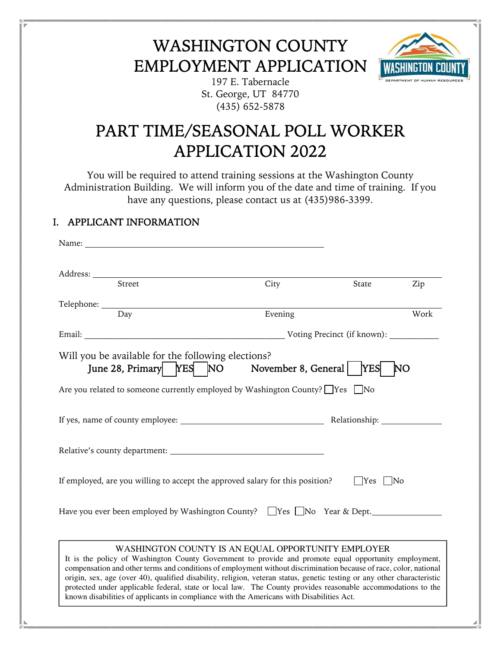## WASHINGTON COUNTY EMPLOYMENT APPLICATION



197 E. Tabernacle St. George, UT 84770 (435) 652-5878

## PART TIME/SEASONAL POLL WORKER APPLICATION 2022

You will be required to attend training sessions at the Washington County Administration Building. We will inform you of the date and time of training. If you have any questions, please contact us at (435)986-3399.

## I. APPLICANT INFORMATION

| Name: $\frac{1}{2}$                                                                                                                                                                                                                                                                                                                                                                                                                                                                                                                                                                                                     |         |       |      |
|-------------------------------------------------------------------------------------------------------------------------------------------------------------------------------------------------------------------------------------------------------------------------------------------------------------------------------------------------------------------------------------------------------------------------------------------------------------------------------------------------------------------------------------------------------------------------------------------------------------------------|---------|-------|------|
|                                                                                                                                                                                                                                                                                                                                                                                                                                                                                                                                                                                                                         |         |       |      |
|                                                                                                                                                                                                                                                                                                                                                                                                                                                                                                                                                                                                                         |         |       |      |
| $\overline{\text{Street}}$                                                                                                                                                                                                                                                                                                                                                                                                                                                                                                                                                                                              | City    | State | Zip  |
|                                                                                                                                                                                                                                                                                                                                                                                                                                                                                                                                                                                                                         |         |       |      |
| Telephone: <u>Day</u>                                                                                                                                                                                                                                                                                                                                                                                                                                                                                                                                                                                                   | Evening |       | Work |
|                                                                                                                                                                                                                                                                                                                                                                                                                                                                                                                                                                                                                         |         |       |      |
| Will you be available for the following elections?<br>June 28, Primary   YES   NO November 8, General   YES                                                                                                                                                                                                                                                                                                                                                                                                                                                                                                             |         | NO    |      |
| Are you related to someone currently employed by Washington County? □ Yes □ No                                                                                                                                                                                                                                                                                                                                                                                                                                                                                                                                          |         |       |      |
|                                                                                                                                                                                                                                                                                                                                                                                                                                                                                                                                                                                                                         |         |       |      |
|                                                                                                                                                                                                                                                                                                                                                                                                                                                                                                                                                                                                                         |         |       |      |
| If employed, are you willing to accept the approved salary for this position?<br>$\bigcap$ Yes $\bigcap$ No<br>Have you ever been employed by Washington County? $\Box$ Yes $\Box$ No Year & Dept.                                                                                                                                                                                                                                                                                                                                                                                                                      |         |       |      |
| WASHINGTON COUNTY IS AN EQUAL OPPORTUNITY EMPLOYER<br>It is the policy of Washington County Government to provide and promote equal opportunity employment,<br>compensation and other terms and conditions of employment without discrimination because of race, color, national<br>origin, sex, age (over 40), qualified disability, religion, veteran status, genetic testing or any other characteristic<br>protected under applicable federal, state or local law. The County provides reasonable accommodations to the<br>known disabilities of applicants in compliance with the Americans with Disabilities Act. |         |       |      |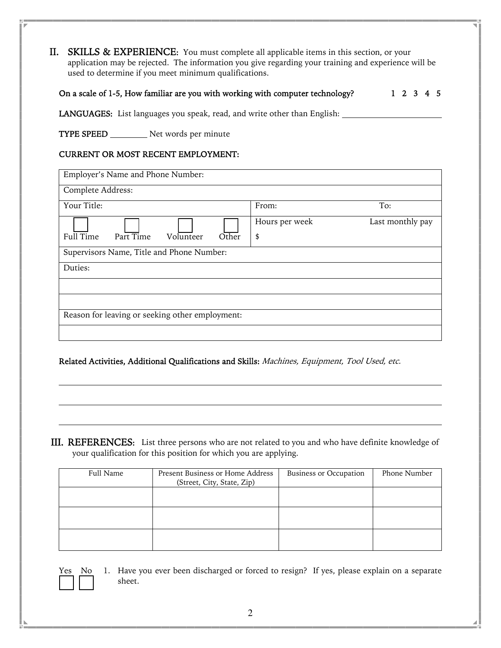II. SKILLS & EXPERIENCE: You must complete all applicable items in this section, or your application may be rejected. The information you give regarding your training and experience will be used to determine if you meet minimum qualifications.

| On a scale of 1-5, How familiar are you with working with computer technology? |  | 1 2 3 4 5 |  |  |
|--------------------------------------------------------------------------------|--|-----------|--|--|
|                                                                                |  |           |  |  |

LANGUAGES: List languages you speak, read, and write other than English: \_\_\_\_\_\_\_\_

TYPE SPEED \_\_\_\_\_\_\_\_\_ Net words per minute

## CURRENT OR MOST RECENT EMPLOYMENT:

| Employer's Name and Phone Number:               |                |                  |
|-------------------------------------------------|----------------|------------------|
| Complete Address:                               |                |                  |
| Your Title:                                     | From:          | To:              |
|                                                 | Hours per week | Last monthly pay |
| Full Time<br>Part Time<br>Other<br>Volunteer    | \$             |                  |
| Supervisors Name, Title and Phone Number:       |                |                  |
| Duties:                                         |                |                  |
|                                                 |                |                  |
|                                                 |                |                  |
| Reason for leaving or seeking other employment: |                |                  |
|                                                 |                |                  |

Related Activities, Additional Qualifications and Skills: Machines, Equipment, Tool Used, etc.

III. REFERENCES: List three persons who are not related to you and who have definite knowledge of your qualification for this position for which you are applying.

| Full Name | Present Business or Home Address<br>(Street, City, State, Zip) | <b>Business or Occupation</b> | Phone Number |
|-----------|----------------------------------------------------------------|-------------------------------|--------------|
|           |                                                                |                               |              |
|           |                                                                |                               |              |
|           |                                                                |                               |              |

Yes No 1. Have you ever been discharged or forced to resign? If yes, please explain on a separate sheet.